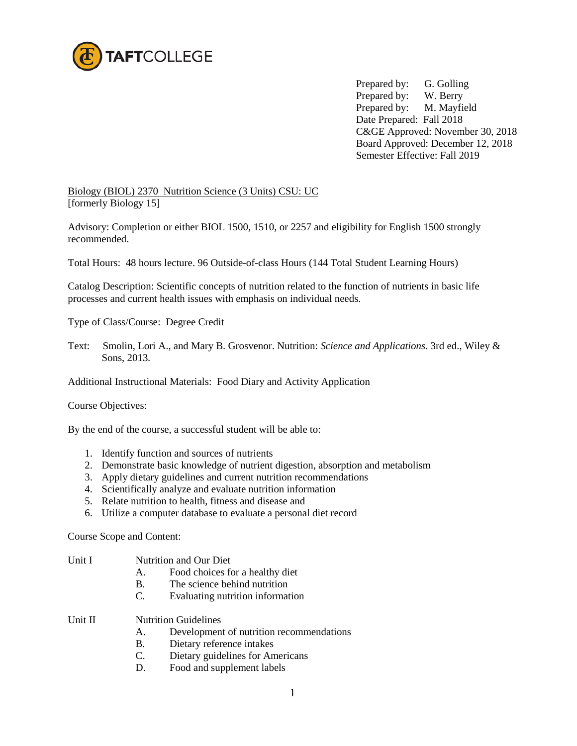

Prepared by: G. Golling Prepared by: W. Berry Prepared by: M. Mayfield Date Prepared: Fall 2018 C&GE Approved: November 30, 2018 Board Approved: December 12, 2018 Semester Effective: Fall 2019

Biology (BIOL) 2370 Nutrition Science (3 Units) CSU: UC [formerly Biology 15]

Advisory: Completion or either BIOL 1500, 1510, or 2257 and eligibility for English 1500 strongly recommended.

Total Hours: 48 hours lecture. 96 Outside-of-class Hours (144 Total Student Learning Hours)

Catalog Description: Scientific concepts of nutrition related to the function of nutrients in basic life processes and current health issues with emphasis on individual needs.

Type of Class/Course: Degree Credit

Text: Smolin, Lori A., and Mary B. Grosvenor. Nutrition: *Science and Applications*. 3rd ed., Wiley & Sons, 2013.

Additional Instructional Materials: Food Diary and Activity Application

Course Objectives:

By the end of the course, a successful student will be able to:

- 1. Identify function and sources of nutrients
- 2. Demonstrate basic knowledge of nutrient digestion, absorption and metabolism
- 3. Apply dietary guidelines and current nutrition recommendations
- 4. Scientifically analyze and evaluate nutrition information
- 5. Relate nutrition to health, fitness and disease and
- 6. Utilize a computer database to evaluate a personal diet record

Course Scope and Content:

- Unit I **Nutrition and Our Diet** 
	- A. Food choices for a healthy diet
	- B. The science behind nutrition<br>C. Evaluating nutrition information
	- Evaluating nutrition information
- Unit II Nutrition Guidelines
	- A. Development of nutrition recommendations
	- B. Dietary reference intakes
	- C. Dietary guidelines for Americans
	- D. Food and supplement labels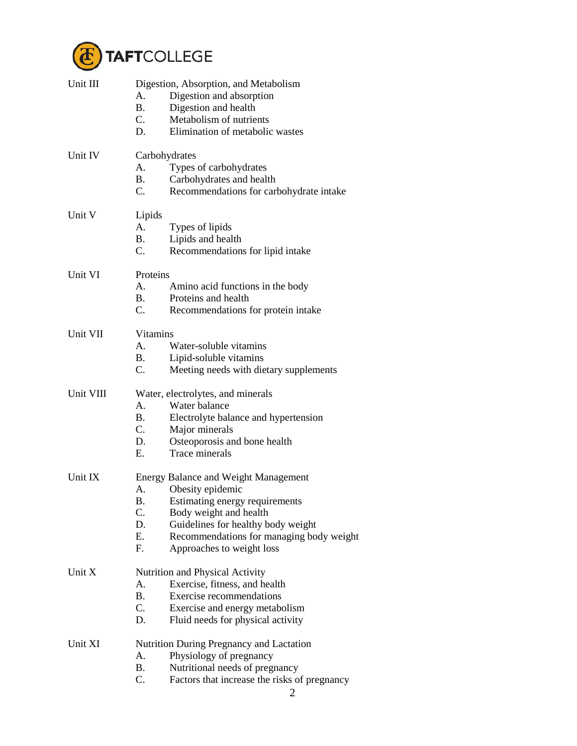

| Unit III  | Digestion, Absorption, and Metabolism<br>А.<br>Digestion and absorption<br>B <sub>r</sub><br>Digestion and health<br>C.<br>Metabolism of nutrients<br>D.<br>Elimination of metabolic wastes                                                                                    |
|-----------|--------------------------------------------------------------------------------------------------------------------------------------------------------------------------------------------------------------------------------------------------------------------------------|
| Unit IV   | Carbohydrates<br>Types of carbohydrates<br>А.<br>Carbohydrates and health<br><b>B.</b><br>C.<br>Recommendations for carbohydrate intake                                                                                                                                        |
| Unit V    | Lipids<br>A.<br>Types of lipids<br><b>B.</b><br>Lipids and health<br>C.<br>Recommendations for lipid intake                                                                                                                                                                    |
| Unit VI   | Proteins<br>A.<br>Amino acid functions in the body<br><b>B.</b><br>Proteins and health<br>$C_{\cdot}$<br>Recommendations for protein intake                                                                                                                                    |
| Unit VII  | Vitamins<br>Water-soluble vitamins<br>A.<br><b>B.</b><br>Lipid-soluble vitamins<br>$C_{\cdot}$<br>Meeting needs with dietary supplements                                                                                                                                       |
| Unit VIII | Water, electrolytes, and minerals<br>Water balance<br>$A_{\cdot}$<br><b>B.</b><br>Electrolyte balance and hypertension<br>$C_{\cdot}$<br>Major minerals<br>D.<br>Osteoporosis and bone health<br>Trace minerals<br>Е.                                                          |
| Unit IX   | <b>Energy Balance and Weight Management</b><br>Obesity epidemic<br>А.<br>В.<br>Estimating energy requirements<br>C.<br>Body weight and health<br>D.<br>Guidelines for healthy body weight<br>Ε.<br>Recommendations for managing body weight<br>F.<br>Approaches to weight loss |
| Unit X    | Nutrition and Physical Activity<br>A.<br>Exercise, fitness, and health<br><b>B.</b><br><b>Exercise recommendations</b><br>C.<br>Exercise and energy metabolism<br>D.<br>Fluid needs for physical activity                                                                      |
| Unit XI   | Nutrition During Pregnancy and Lactation<br>А.<br>Physiology of pregnancy<br><b>B.</b><br>Nutritional needs of pregnancy<br>C.<br>Factors that increase the risks of pregnancy                                                                                                 |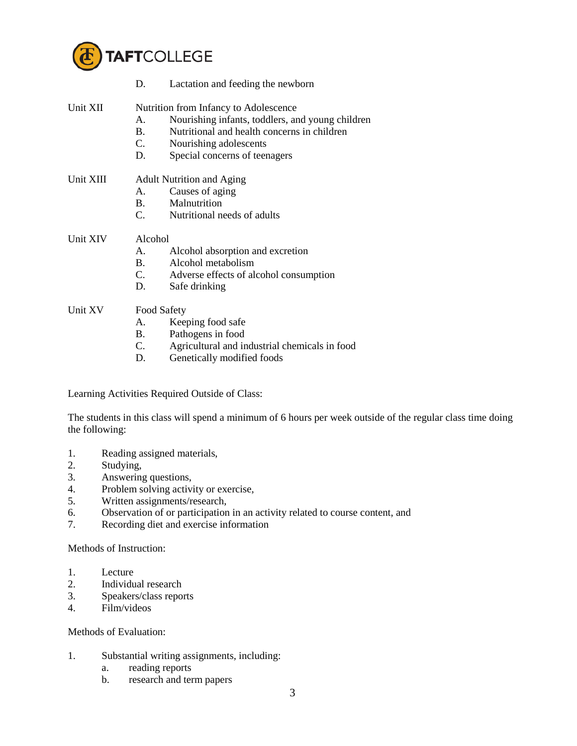

|           | D.                                    | Lactation and feeding the newborn                |  |  |
|-----------|---------------------------------------|--------------------------------------------------|--|--|
| Unit XII  | Nutrition from Infancy to Adolescence |                                                  |  |  |
|           | A.                                    | Nourishing infants, toddlers, and young children |  |  |
|           | <b>B.</b>                             | Nutritional and health concerns in children      |  |  |
|           | C.                                    | Nourishing adolescents                           |  |  |
|           | D.                                    | Special concerns of teenagers                    |  |  |
| Unit XIII | <b>Adult Nutrition and Aging</b>      |                                                  |  |  |
|           | А.                                    | Causes of aging                                  |  |  |
|           |                                       | B. Malnutrition                                  |  |  |
|           |                                       | C. Nutritional needs of adults                   |  |  |
| Unit XIV  | Alcohol                               |                                                  |  |  |
|           | A.                                    | Alcohol absorption and excretion                 |  |  |
|           | <b>B.</b>                             | Alcohol metabolism                               |  |  |
|           |                                       | C. Adverse effects of alcohol consumption        |  |  |
|           | D.                                    | Safe drinking                                    |  |  |
| Unit XV   | <b>Food Safety</b>                    |                                                  |  |  |
|           | A.                                    | Keeping food safe                                |  |  |

- B. Pathogens in food
- C. Agricultural and industrial chemicals in food
- D. Genetically modified foods

Learning Activities Required Outside of Class:

The students in this class will spend a minimum of 6 hours per week outside of the regular class time doing the following:

- 1. Reading assigned materials,
- 2. Studying,
- 3. Answering questions,
- 4. Problem solving activity or exercise,
- 5. Written assignments/research,
- 6. Observation of or participation in an activity related to course content, and
- 7. Recording diet and exercise information

Methods of Instruction:

- 1. Lecture
- 2. Individual research
- 3. Speakers/class reports
- 4. Film/videos

## Methods of Evaluation:

- 1. Substantial writing assignments, including:
	- a. reading reports
	- b. research and term papers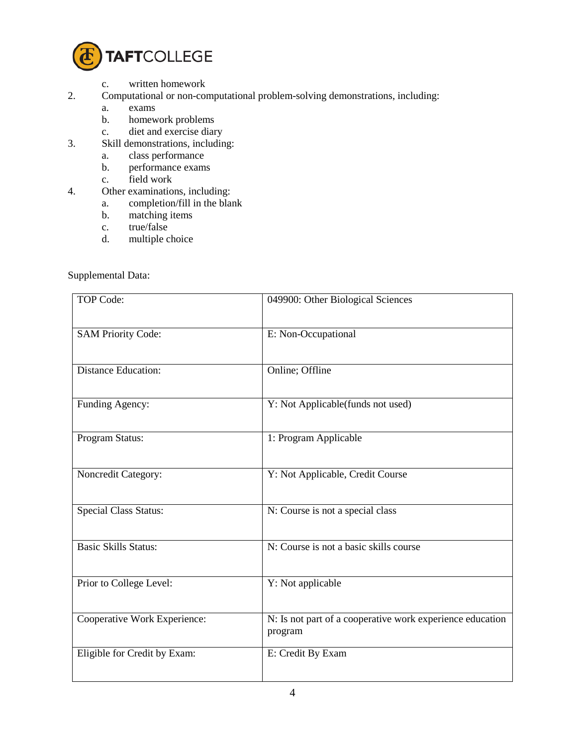

- c. written homework
- 2. Computational or non-computational problem-solving demonstrations, including:
	- a. exams<br>b. homew
	- homework problems
	- c. diet and exercise diary
- 3. Skill demonstrations, including:
	- a. class performance
	- b. performance exams
	- c. field work
- 4. Other examinations, including:
	- a. completion/fill in the blank
	- b. matching items
	- c. true/false
	- d. multiple choice

Supplemental Data:

| <b>TOP Code:</b>             | 049900: Other Biological Sciences                                    |
|------------------------------|----------------------------------------------------------------------|
| <b>SAM Priority Code:</b>    | E: Non-Occupational                                                  |
| <b>Distance Education:</b>   | Online; Offline                                                      |
| Funding Agency:              | Y: Not Applicable(funds not used)                                    |
| Program Status:              | 1: Program Applicable                                                |
| Noncredit Category:          | Y: Not Applicable, Credit Course                                     |
| <b>Special Class Status:</b> | N: Course is not a special class                                     |
| <b>Basic Skills Status:</b>  | N: Course is not a basic skills course                               |
| Prior to College Level:      | Y: Not applicable                                                    |
| Cooperative Work Experience: | N: Is not part of a cooperative work experience education<br>program |
| Eligible for Credit by Exam: | E: Credit By Exam                                                    |